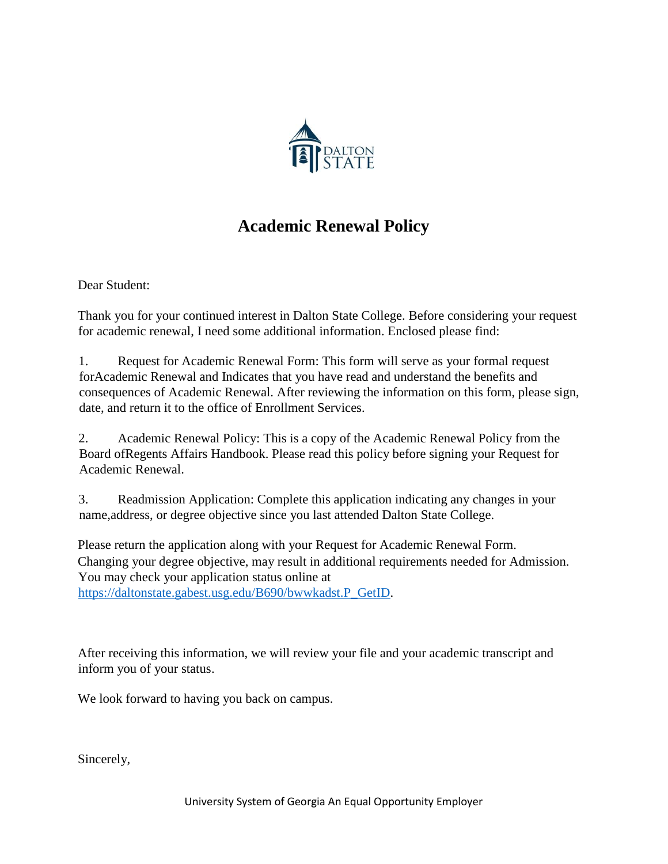

## **Academic Renewal Policy**

Dear Student:

Thank you for your continued interest in Dalton State College. Before considering your request for academic renewal, I need some additional information. Enclosed please find:

1. Request for Academic Renewal Form: This form will serve as your formal request forAcademic Renewal and Indicates that you have read and understand the benefits and consequences of Academic Renewal. After reviewing the information on this form, please sign, date, and return it to the office of Enrollment Services.

2. Academic Renewal Policy: This is a copy of the Academic Renewal Policy from the Board ofRegents Affairs Handbook. Please read this policy before signing your Request for Academic Renewal.

3. Readmission Application: Complete this application indicating any changes in your name,address, or degree objective since you last attended Dalton State College.

Please return the application along with your Request for Academic Renewal Form. Changing your degree objective, may result in additional requirements needed for Admission. You may check your application status online at [https://daltonstate.gabest.usg.edu/B690/bwwkadst.P\\_GetID.](https://daltonstate.gabest.usg.edu/B690/bwwkadst.P_GetID)

After receiving this information, we will review your file and your academic transcript and inform you of your status.

We look forward to having you back on campus.

Sincerely,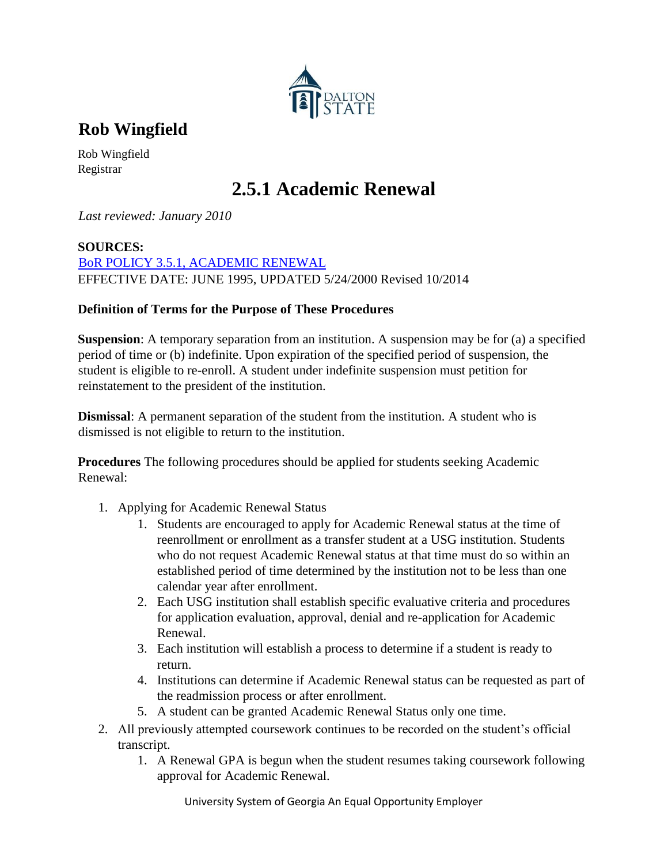

**Rob Wingfield** 

Rob Wingfield Registrar

# **2.5.1 Academic Renewal**

*Last reviewed: January 2010*

### **SOURCES:**

[BoR POLICY 3.5.1, ACADEMIC RENEWAL](http://www.usg.edu/policymanual/section3/policy/3.5_grading_system/#p3.5.1_grade_point_average) EFFECTIVE DATE: JUNE 1995, UPDATED 5/24/2000 Revised 10/2014

### **Definition of Terms for the Purpose of These Procedures**

**Suspension**: A temporary separation from an institution. A suspension may be for (a) a specified period of time or (b) indefinite. Upon expiration of the specified period of suspension, the student is eligible to re-enroll. A student under indefinite suspension must petition for reinstatement to the president of the institution.

**Dismissal**: A permanent separation of the student from the institution. A student who is dismissed is not eligible to return to the institution.

**Procedures** The following procedures should be applied for students seeking Academic Renewal:

- 1. Applying for Academic Renewal Status
	- 1. Students are encouraged to apply for Academic Renewal status at the time of reenrollment or enrollment as a transfer student at a USG institution. Students who do not request Academic Renewal status at that time must do so within an established period of time determined by the institution not to be less than one calendar year after enrollment.
	- 2. Each USG institution shall establish specific evaluative criteria and procedures for application evaluation, approval, denial and re-application for Academic Renewal.
	- 3. Each institution will establish a process to determine if a student is ready to return.
	- 4. Institutions can determine if Academic Renewal status can be requested as part of the readmission process or after enrollment.
	- 5. A student can be granted Academic Renewal Status only one time.
- 2. All previously attempted coursework continues to be recorded on the student's official transcript.
	- 1. A Renewal GPA is begun when the student resumes taking coursework following approval for Academic Renewal.

University System of Georgia An Equal Opportunity Employer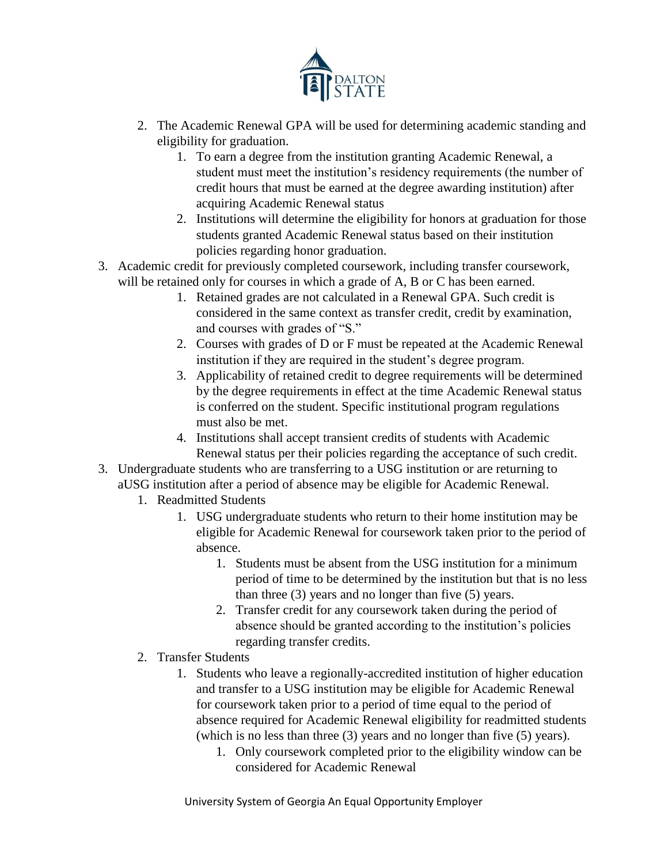

- 2. The Academic Renewal GPA will be used for determining academic standing and eligibility for graduation.
	- 1. To earn a degree from the institution granting Academic Renewal, a student must meet the institution's residency requirements (the number of credit hours that must be earned at the degree awarding institution) after acquiring Academic Renewal status
	- 2. Institutions will determine the eligibility for honors at graduation for those students granted Academic Renewal status based on their institution policies regarding honor graduation.
- 3. Academic credit for previously completed coursework, including transfer coursework, will be retained only for courses in which a grade of A, B or C has been earned.
	- 1. Retained grades are not calculated in a Renewal GPA. Such credit is considered in the same context as transfer credit, credit by examination, and courses with grades of "S."
	- 2. Courses with grades of D or F must be repeated at the Academic Renewal institution if they are required in the student's degree program.
	- 3. Applicability of retained credit to degree requirements will be determined by the degree requirements in effect at the time Academic Renewal status is conferred on the student. Specific institutional program regulations must also be met.
	- 4. Institutions shall accept transient credits of students with Academic Renewal status per their policies regarding the acceptance of such credit.
- 3. Undergraduate students who are transferring to a USG institution or are returning to aUSG institution after a period of absence may be eligible for Academic Renewal.
	- 1. Readmitted Students
		- 1. USG undergraduate students who return to their home institution may be eligible for Academic Renewal for coursework taken prior to the period of absence.
			- 1. Students must be absent from the USG institution for a minimum period of time to be determined by the institution but that is no less than three (3) years and no longer than five (5) years.
			- 2. Transfer credit for any coursework taken during the period of absence should be granted according to the institution's policies regarding transfer credits.
	- 2. Transfer Students
		- 1. Students who leave a regionally-accredited institution of higher education and transfer to a USG institution may be eligible for Academic Renewal for coursework taken prior to a period of time equal to the period of absence required for Academic Renewal eligibility for readmitted students (which is no less than three (3) years and no longer than five (5) years).
			- 1. Only coursework completed prior to the eligibility window can be considered for Academic Renewal

University System of Georgia An Equal Opportunity Employer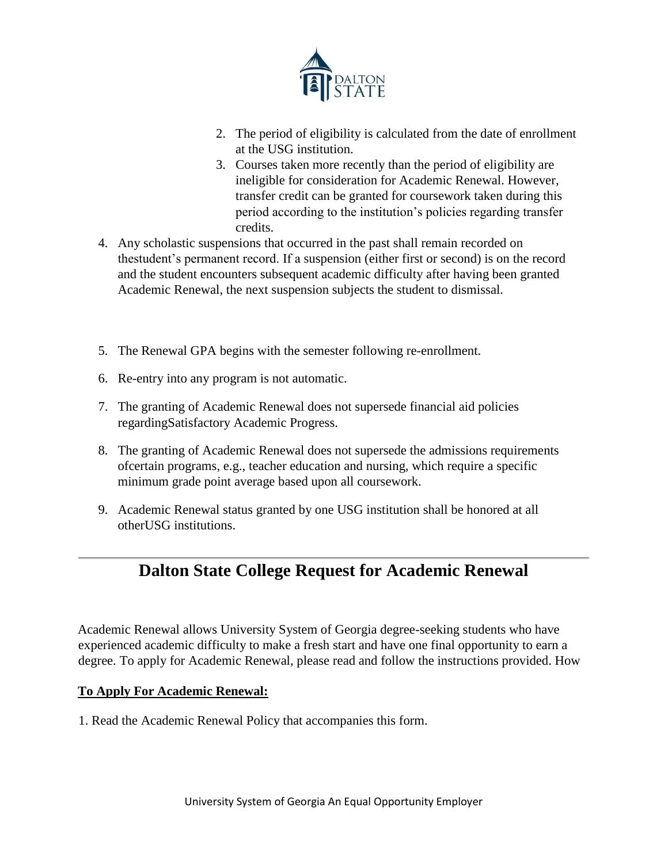

- 2. The period of eligibility is calculated from the date of enrollment at the USG institution.
- 3. Courses taken more recently than the period of eligibility are ineligible for consideration for Academic Renewal. However, transfer credit can be granted for coursework taken during this period according to the institution's policies regarding transfer credits.
- 4. Any scholastic suspensions that occurred in the past shall remain recorded on thestudent's permanent record. If a suspension (either first or second) is on the record and the student encounters subsequent academic difficulty after having been granted Academic Renewal, the next suspension subjects the student to dismissal.
- 5. The Renewal GPA begins with the semester following re-enrollment.
- 6. Re-entry into any program is not automatic.
- 7. The granting of Academic Renewal does not supersede financial aid policies regardingSatisfactory Academic Progress.
- 8. The granting of Academic Renewal does not supersede the admissions requirements ofcertain programs, e.g., teacher education and nursing, which require a specific minimum grade point average based upon all coursework.
- 9. Academic Renewal status granted by one USG institution shall be honored at all otherUSG institutions.

### **Dalton State College Request for Academic Renewal**

Academic Renewal allows University System of Georgia degree-seeking students who have experienced academic difficulty to make a fresh start and have one final opportunity to earn a degree. To apply for Academic Renewal, please read and follow the instructions provided. How

### **To Apply For Academic Renewal:**

1. Read the Academic Renewal Policy that accompanies this form.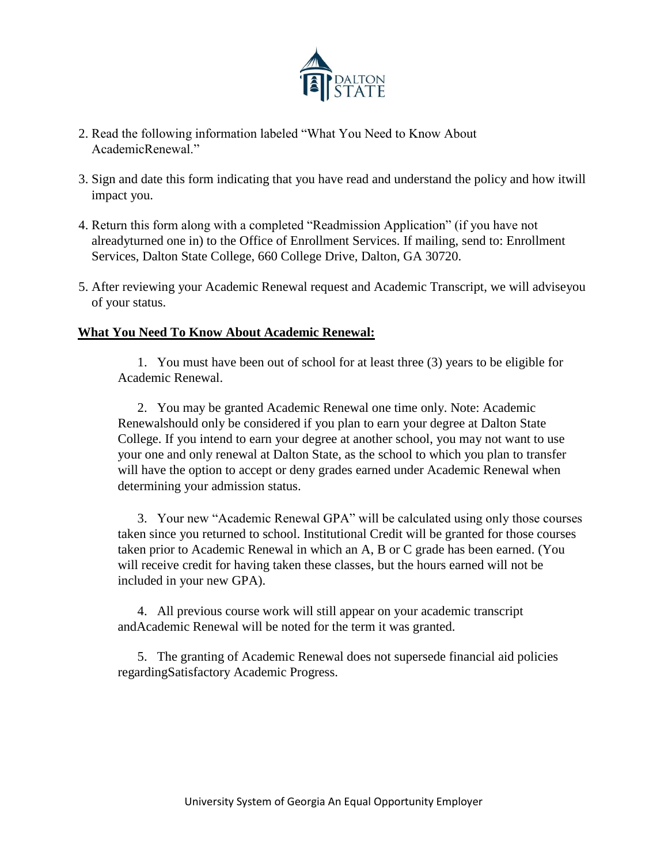

- 2. Read the following information labeled "What You Need to Know About AcademicRenewal."
- 3. Sign and date this form indicating that you have read and understand the policy and how itwill impact you.
- 4. Return this form along with a completed "Readmission Application" (if you have not alreadyturned one in) to the Office of Enrollment Services. If mailing, send to: Enrollment Services, Dalton State College, 660 College Drive, Dalton, GA 30720.
- 5. After reviewing your Academic Renewal request and Academic Transcript, we will adviseyou of your status.

### **What You Need To Know About Academic Renewal:**

1. You must have been out of school for at least three (3) years to be eligible for Academic Renewal.

2. You may be granted Academic Renewal one time only. Note: Academic Renewalshould only be considered if you plan to earn your degree at Dalton State College. If you intend to earn your degree at another school, you may not want to use your one and only renewal at Dalton State, as the school to which you plan to transfer will have the option to accept or deny grades earned under Academic Renewal when determining your admission status.

3. Your new "Academic Renewal GPA" will be calculated using only those courses taken since you returned to school. Institutional Credit will be granted for those courses taken prior to Academic Renewal in which an A, B or C grade has been earned. (You will receive credit for having taken these classes, but the hours earned will not be included in your new GPA).

4. All previous course work will still appear on your academic transcript andAcademic Renewal will be noted for the term it was granted.

5. The granting of Academic Renewal does not supersede financial aid policies regardingSatisfactory Academic Progress.